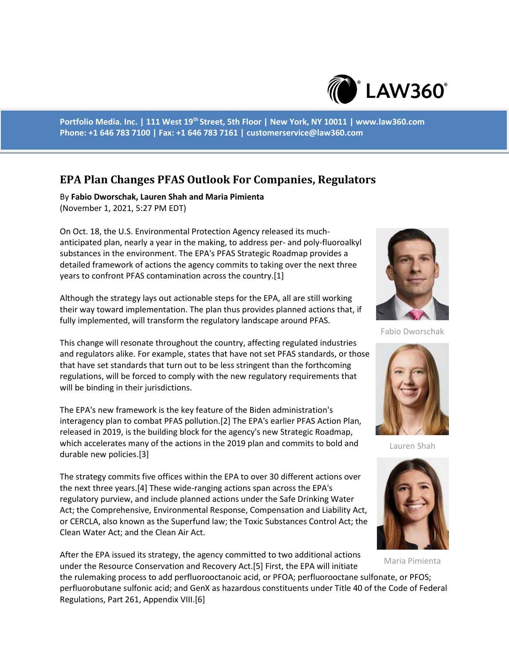

**Portfolio Media. Inc. | 111 West 19th Street, 5th Floor | New York, NY 10011 | www.law360.com Phone: +1 646 783 7100 | Fax: +1 646 783 7161 | customerservice@law360.com**

# **EPA Plan Changes PFAS Outlook For Companies, Regulators**

By **Fabio Dworschak, Lauren Shah and Maria Pimienta** (November 1, 2021, 5:27 PM EDT)

On Oct. 18, the U.S. Environmental Protection Agency released its muchanticipated plan, nearly a year in the making, to address per- and poly-fluoroalkyl substances in the environment. The EPA's PFAS Strategic Roadmap provides a detailed framework of actions the agency commits to taking over the next three years to confront PFAS contamination across the country.[1]

Although the strategy lays out actionable steps for the EPA, all are still working their way toward implementation. The plan thus provides planned actions that, if fully implemented, will transform the regulatory landscape around PFAS.

This change will resonate throughout the country, affecting regulated industries and regulators alike. For example, states that have not set PFAS standards, or those that have set standards that turn out to be less stringent than the forthcoming regulations, will be forced to comply with the new regulatory requirements that will be binding in their jurisdictions.

The EPA's new framework is the key feature of the Biden administration's interagency plan to combat PFAS pollution.[2] The EPA's earlier PFAS Action Plan, released in 2019, is the building block for the agency's new Strategic Roadmap, which accelerates many of the actions in the 2019 plan and commits to bold and durable new policies.[3]

The strategy commits five offices within the EPA to over 30 different actions over the next three years.[4] These wide-ranging actions span across the EPA's regulatory purview, and include planned actions under the Safe Drinking Water Act; the Comprehensive, Environmental Response, Compensation and Liability Act, or CERCLA, also known as the Superfund law; the Toxic Substances Control Act; the Clean Water Act; and the Clean Air Act.

After the EPA issued its strategy, the agency committed to two additional actions under the Resource Conservation and Recovery Act.[5] First, the EPA will initiate

the rulemaking process to add perfluorooctanoic acid, or PFOA; perfluorooctane sulfonate, or PFOS; perfluorobutane sulfonic acid; and GenX as hazardous constituents under Title 40 of the Code of Federal Regulations, Part 261, Appendix VIII.[6]



Fabio Dworschak



Lauren Shah



Maria Pimienta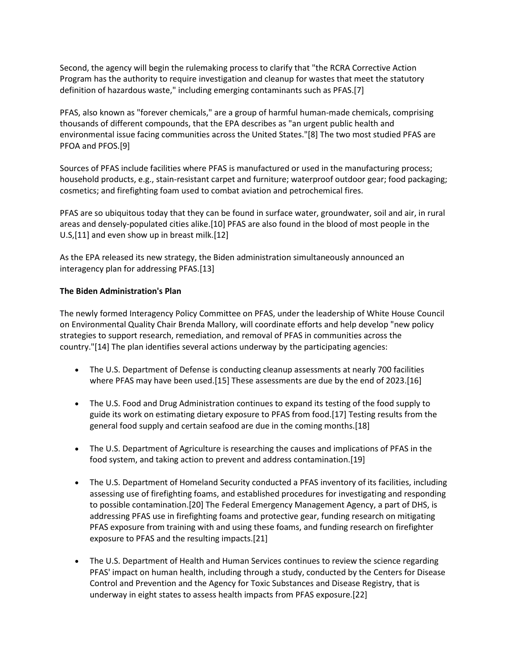Second, the agency will begin the rulemaking process to clarify that "the RCRA Corrective Action Program has the authority to require investigation and cleanup for wastes that meet the statutory definition of hazardous waste," including emerging contaminants such as PFAS.[7]

PFAS, also known as "forever chemicals," are a group of harmful human-made chemicals, comprising thousands of different compounds, that the EPA describes as "an urgent public health and environmental issue facing communities across the United States."[8] The two most studied PFAS are PFOA and PFOS.[9]

Sources of PFAS include facilities where PFAS is manufactured or used in the manufacturing process; household products, e.g., stain-resistant carpet and furniture; waterproof outdoor gear; food packaging; cosmetics; and firefighting foam used to combat aviation and petrochemical fires.

PFAS are so ubiquitous today that they can be found in surface water, groundwater, soil and air, in rural areas and densely-populated cities alike.[10] PFAS are also found in the blood of most people in the U.S,[11] and even show up in breast milk.[12]

As the EPA released its new strategy, the Biden administration simultaneously announced an interagency plan for addressing PFAS.[13]

## **The Biden Administration's Plan**

The newly formed Interagency Policy Committee on PFAS, under the leadership of White House Council on Environmental Quality Chair Brenda Mallory, will coordinate efforts and help develop "new policy strategies to support research, remediation, and removal of PFAS in communities across the country."[14] The plan identifies several actions underway by the participating agencies:

- The U.S. Department of Defense is conducting cleanup assessments at nearly 700 facilities where PFAS may have been used.[15] These assessments are due by the end of 2023.[16]
- The U.S. Food and Drug Administration continues to expand its testing of the food supply to guide its work on estimating dietary exposure to PFAS from food.[17] Testing results from the general food supply and certain seafood are due in the coming months.[18]
- The U.S. Department of Agriculture is researching the causes and implications of PFAS in the food system, and taking action to prevent and address contamination.[19]
- The U.S. Department of Homeland Security conducted a PFAS inventory of its facilities, including assessing use of firefighting foams, and established procedures for investigating and responding to possible contamination.[20] The Federal Emergency Management Agency, a part of DHS, is addressing PFAS use in firefighting foams and protective gear, funding research on mitigating PFAS exposure from training with and using these foams, and funding research on firefighter exposure to PFAS and the resulting impacts.[21]
- The U.S. Department of Health and Human Services continues to review the science regarding PFAS' impact on human health, including through a study, conducted by the Centers for Disease Control and Prevention and the Agency for Toxic Substances and Disease Registry, that is underway in eight states to assess health impacts from PFAS exposure.[22]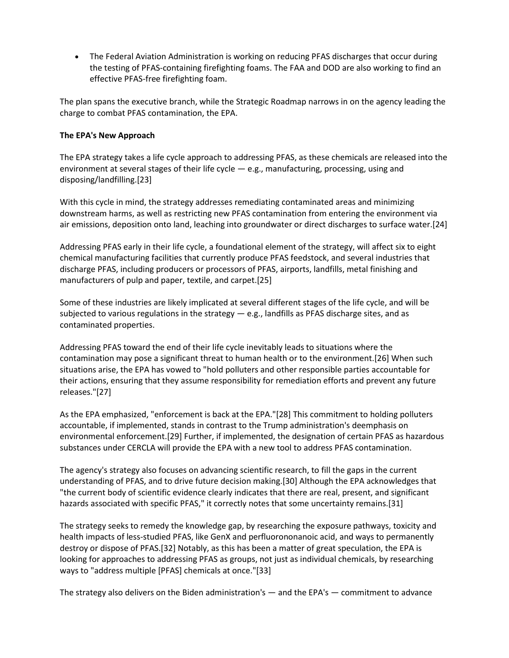The Federal Aviation Administration is working on reducing PFAS discharges that occur during the testing of PFAS-containing firefighting foams. The FAA and DOD are also working to find an effective PFAS-free firefighting foam.

The plan spans the executive branch, while the Strategic Roadmap narrows in on the agency leading the charge to combat PFAS contamination, the EPA.

# **The EPA's New Approach**

The EPA strategy takes a life cycle approach to addressing PFAS, as these chemicals are released into the environment at several stages of their life cycle — e.g., manufacturing, processing, using and disposing/landfilling.[23]

With this cycle in mind, the strategy addresses remediating contaminated areas and minimizing downstream harms, as well as restricting new PFAS contamination from entering the environment via air emissions, deposition onto land, leaching into groundwater or direct discharges to surface water.[24]

Addressing PFAS early in their life cycle, a foundational element of the strategy, will affect six to eight chemical manufacturing facilities that currently produce PFAS feedstock, and several industries that discharge PFAS, including producers or processors of PFAS, airports, landfills, metal finishing and manufacturers of pulp and paper, textile, and carpet.[25]

Some of these industries are likely implicated at several different stages of the life cycle, and will be subjected to various regulations in the strategy  $-$  e.g., landfills as PFAS discharge sites, and as contaminated properties.

Addressing PFAS toward the end of their life cycle inevitably leads to situations where the contamination may pose a significant threat to human health or to the environment.[26] When such situations arise, the EPA has vowed to "hold polluters and other responsible parties accountable for their actions, ensuring that they assume responsibility for remediation efforts and prevent any future releases."[27]

As the EPA emphasized, "enforcement is back at the EPA."[28] This commitment to holding polluters accountable, if implemented, stands in contrast to the Trump administration's deemphasis on environmental enforcement.[29] Further, if implemented, the designation of certain PFAS as hazardous substances under CERCLA will provide the EPA with a new tool to address PFAS contamination.

The agency's strategy also focuses on advancing scientific research, to fill the gaps in the current understanding of PFAS, and to drive future decision making.[30] Although the EPA acknowledges that "the current body of scientific evidence clearly indicates that there are real, present, and significant hazards associated with specific PFAS," it correctly notes that some uncertainty remains.[31]

The strategy seeks to remedy the knowledge gap, by researching the exposure pathways, toxicity and health impacts of less-studied PFAS, like GenX and perfluorononanoic acid, and ways to permanently destroy or dispose of PFAS.[32] Notably, as this has been a matter of great speculation, the EPA is looking for approaches to addressing PFAS as groups, not just as individual chemicals, by researching ways to "address multiple [PFAS] chemicals at once."[33]

The strategy also delivers on the Biden administration's — and the EPA's — commitment to advance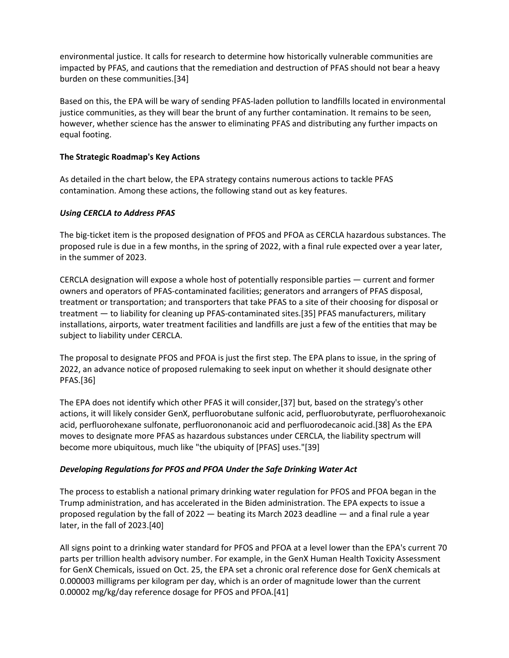environmental justice. It calls for research to determine how historically vulnerable communities are impacted by PFAS, and cautions that the remediation and destruction of PFAS should not bear a heavy burden on these communities.[34]

Based on this, the EPA will be wary of sending PFAS-laden pollution to landfills located in environmental justice communities, as they will bear the brunt of any further contamination. It remains to be seen, however, whether science has the answer to eliminating PFAS and distributing any further impacts on equal footing.

## **The Strategic Roadmap's Key Actions**

As detailed in the chart below, the EPA strategy contains numerous actions to tackle PFAS contamination. Among these actions, the following stand out as key features.

## *Using CERCLA to Address PFAS*

The big-ticket item is the proposed designation of PFOS and PFOA as CERCLA hazardous substances. The proposed rule is due in a few months, in the spring of 2022, with a final rule expected over a year later, in the summer of 2023.

CERCLA designation will expose a whole host of potentially responsible parties — current and former owners and operators of PFAS-contaminated facilities; generators and arrangers of PFAS disposal, treatment or transportation; and transporters that take PFAS to a site of their choosing for disposal or treatment — to liability for cleaning up PFAS-contaminated sites.[35] PFAS manufacturers, military installations, airports, water treatment facilities and landfills are just a few of the entities that may be subject to liability under CERCLA.

The proposal to designate PFOS and PFOA is just the first step. The EPA plans to issue, in the spring of 2022, an advance notice of proposed rulemaking to seek input on whether it should designate other PFAS.[36]

The EPA does not identify which other PFAS it will consider,[37] but, based on the strategy's other actions, it will likely consider GenX, perfluorobutane sulfonic acid, perfluorobutyrate, perfluorohexanoic acid, perfluorohexane sulfonate, perfluorononanoic acid and perfluorodecanoic acid.[38] As the EPA moves to designate more PFAS as hazardous substances under CERCLA, the liability spectrum will become more ubiquitous, much like "the ubiquity of [PFAS] uses."[39]

#### *Developing Regulations for PFOS and PFOA Under the Safe Drinking Water Act*

The process to establish a national primary drinking water regulation for PFOS and PFOA began in the Trump administration, and has accelerated in the Biden administration. The EPA expects to issue a proposed regulation by the fall of 2022 — beating its March 2023 deadline — and a final rule a year later, in the fall of 2023.[40]

All signs point to a drinking water standard for PFOS and PFOA at a level lower than the EPA's current 70 parts per trillion health advisory number. For example, in the GenX Human Health Toxicity Assessment for GenX Chemicals, issued on Oct. 25, the EPA set a chronic oral reference dose for GenX chemicals at 0.000003 milligrams per kilogram per day, which is an order of magnitude lower than the current 0.00002 mg/kg/day reference dosage for PFOS and PFOA.[41]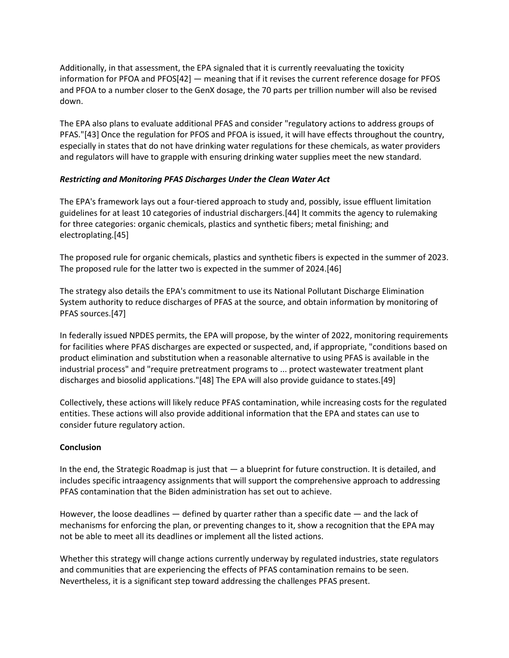Additionally, in that assessment, the EPA signaled that it is currently reevaluating the toxicity information for PFOA and PFOS[42] — meaning that if it revises the current reference dosage for PFOS and PFOA to a number closer to the GenX dosage, the 70 parts per trillion number will also be revised down.

The EPA also plans to evaluate additional PFAS and consider "regulatory actions to address groups of PFAS."[43] Once the regulation for PFOS and PFOA is issued, it will have effects throughout the country, especially in states that do not have drinking water regulations for these chemicals, as water providers and regulators will have to grapple with ensuring drinking water supplies meet the new standard.

## *Restricting and Monitoring PFAS Discharges Under the Clean Water Act*

The EPA's framework lays out a four-tiered approach to study and, possibly, issue effluent limitation guidelines for at least 10 categories of industrial dischargers.[44] It commits the agency to rulemaking for three categories: organic chemicals, plastics and synthetic fibers; metal finishing; and electroplating.[45]

The proposed rule for organic chemicals, plastics and synthetic fibers is expected in the summer of 2023. The proposed rule for the latter two is expected in the summer of 2024.[46]

The strategy also details the EPA's commitment to use its National Pollutant Discharge Elimination System authority to reduce discharges of PFAS at the source, and obtain information by monitoring of PFAS sources.[47]

In federally issued NPDES permits, the EPA will propose, by the winter of 2022, monitoring requirements for facilities where PFAS discharges are expected or suspected, and, if appropriate, "conditions based on product elimination and substitution when a reasonable alternative to using PFAS is available in the industrial process" and "require pretreatment programs to ... protect wastewater treatment plant discharges and biosolid applications."[48] The EPA will also provide guidance to states.[49]

Collectively, these actions will likely reduce PFAS contamination, while increasing costs for the regulated entities. These actions will also provide additional information that the EPA and states can use to consider future regulatory action.

#### **Conclusion**

In the end, the Strategic Roadmap is just that — a blueprint for future construction. It is detailed, and includes specific intraagency assignments that will support the comprehensive approach to addressing PFAS contamination that the Biden administration has set out to achieve.

However, the loose deadlines  $-$  defined by quarter rather than a specific date  $-$  and the lack of mechanisms for enforcing the plan, or preventing changes to it, show a recognition that the EPA may not be able to meet all its deadlines or implement all the listed actions.

Whether this strategy will change actions currently underway by regulated industries, state regulators and communities that are experiencing the effects of PFAS contamination remains to be seen. Nevertheless, it is a significant step toward addressing the challenges PFAS present.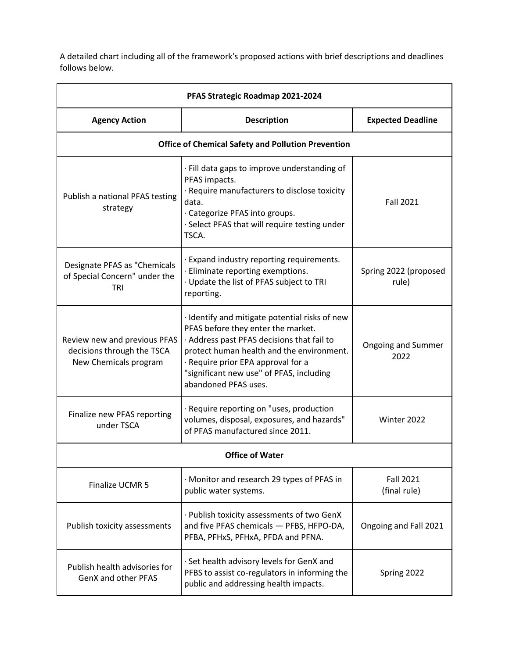A detailed chart including all of the framework's proposed actions with brief descriptions and deadlines follows below.

| PFAS Strategic Roadmap 2021-2024                                                    |                                                                                                                                                                                                                                                                                           |                                   |  |  |
|-------------------------------------------------------------------------------------|-------------------------------------------------------------------------------------------------------------------------------------------------------------------------------------------------------------------------------------------------------------------------------------------|-----------------------------------|--|--|
| <b>Agency Action</b>                                                                | <b>Description</b>                                                                                                                                                                                                                                                                        | <b>Expected Deadline</b>          |  |  |
| <b>Office of Chemical Safety and Pollution Prevention</b>                           |                                                                                                                                                                                                                                                                                           |                                   |  |  |
| Publish a national PFAS testing<br>strategy                                         | · Fill data gaps to improve understanding of<br>PFAS impacts.<br>· Require manufacturers to disclose toxicity<br>data.<br>· Categorize PFAS into groups.<br>· Select PFAS that will require testing under<br>TSCA.                                                                        | <b>Fall 2021</b>                  |  |  |
| Designate PFAS as "Chemicals<br>of Special Concern" under the<br>TRI                | · Expand industry reporting requirements.<br>· Eliminate reporting exemptions.<br>· Update the list of PFAS subject to TRI<br>reporting.                                                                                                                                                  | Spring 2022 (proposed<br>rule)    |  |  |
| Review new and previous PFAS<br>decisions through the TSCA<br>New Chemicals program | · Identify and mitigate potential risks of new<br>PFAS before they enter the market.<br>· Address past PFAS decisions that fail to<br>protect human health and the environment.<br>· Require prior EPA approval for a<br>"significant new use" of PFAS, including<br>abandoned PFAS uses. | <b>Ongoing and Summer</b><br>2022 |  |  |
| Finalize new PFAS reporting<br>under TSCA                                           | · Require reporting on "uses, production<br>volumes, disposal, exposures, and hazards"<br>of PFAS manufactured since 2011.                                                                                                                                                                | Winter 2022                       |  |  |
| <b>Office of Water</b>                                                              |                                                                                                                                                                                                                                                                                           |                                   |  |  |
| Finalize UCMR 5                                                                     | · Monitor and research 29 types of PFAS in<br>public water systems.                                                                                                                                                                                                                       | <b>Fall 2021</b><br>(final rule)  |  |  |
| Publish toxicity assessments                                                        | · Publish toxicity assessments of two GenX<br>and five PFAS chemicals - PFBS, HFPO-DA,<br>PFBA, PFHxS, PFHxA, PFDA and PFNA.                                                                                                                                                              | Ongoing and Fall 2021             |  |  |
| Publish health advisories for<br><b>GenX and other PFAS</b>                         | · Set health advisory levels for GenX and<br>PFBS to assist co-regulators in informing the<br>public and addressing health impacts.                                                                                                                                                       | Spring 2022                       |  |  |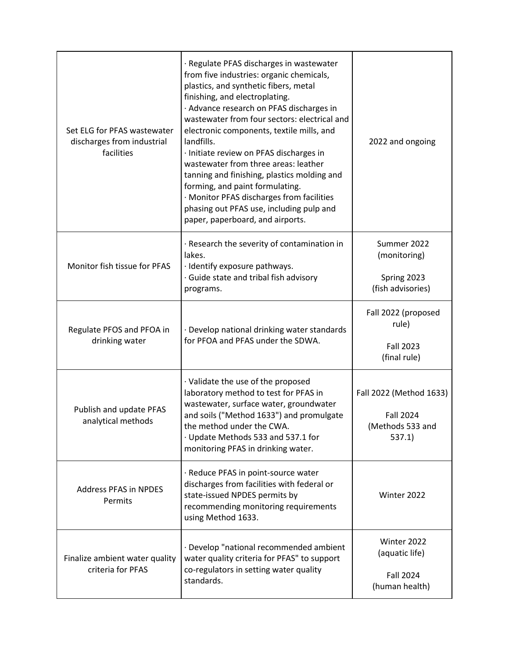| Set ELG for PFAS wastewater<br>discharges from industrial<br>facilities | · Regulate PFAS discharges in wastewater<br>from five industries: organic chemicals,<br>plastics, and synthetic fibers, metal<br>finishing, and electroplating.<br>· Advance research on PFAS discharges in<br>wastewater from four sectors: electrical and<br>electronic components, textile mills, and<br>landfills.<br>· Initiate review on PFAS discharges in<br>wastewater from three areas: leather<br>tanning and finishing, plastics molding and<br>forming, and paint formulating.<br>· Monitor PFAS discharges from facilities<br>phasing out PFAS use, including pulp and<br>paper, paperboard, and airports. | 2022 and ongoing                                                    |
|-------------------------------------------------------------------------|--------------------------------------------------------------------------------------------------------------------------------------------------------------------------------------------------------------------------------------------------------------------------------------------------------------------------------------------------------------------------------------------------------------------------------------------------------------------------------------------------------------------------------------------------------------------------------------------------------------------------|---------------------------------------------------------------------|
| Monitor fish tissue for PFAS                                            | · Research the severity of contamination in<br>lakes.<br>· Identify exposure pathways.<br>· Guide state and tribal fish advisory<br>programs.                                                                                                                                                                                                                                                                                                                                                                                                                                                                            | Summer 2022<br>(monitoring)<br>Spring 2023<br>(fish advisories)     |
| Regulate PFOS and PFOA in<br>drinking water                             | · Develop national drinking water standards<br>for PFOA and PFAS under the SDWA.                                                                                                                                                                                                                                                                                                                                                                                                                                                                                                                                         | Fall 2022 (proposed<br>rule)<br><b>Fall 2023</b><br>(final rule)    |
| Publish and update PFAS<br>analytical methods                           | · Validate the use of the proposed<br>laboratory method to test for PFAS in<br>wastewater, surface water, groundwater<br>and soils ("Method 1633") and promulgate<br>the method under the CWA.<br>· Update Methods 533 and 537.1 for<br>monitoring PFAS in drinking water.                                                                                                                                                                                                                                                                                                                                               | Fall 2022 (Method 1633)<br>Fall 2024<br>(Methods 533 and<br>537.1)  |
| <b>Address PFAS in NPDES</b><br>Permits                                 | · Reduce PFAS in point-source water<br>discharges from facilities with federal or<br>state-issued NPDES permits by<br>recommending monitoring requirements<br>using Method 1633.                                                                                                                                                                                                                                                                                                                                                                                                                                         | Winter 2022                                                         |
| Finalize ambient water quality<br>criteria for PFAS                     | · Develop "national recommended ambient<br>water quality criteria for PFAS" to support<br>co-regulators in setting water quality<br>standards.                                                                                                                                                                                                                                                                                                                                                                                                                                                                           | Winter 2022<br>(aquatic life)<br><b>Fall 2024</b><br>(human health) |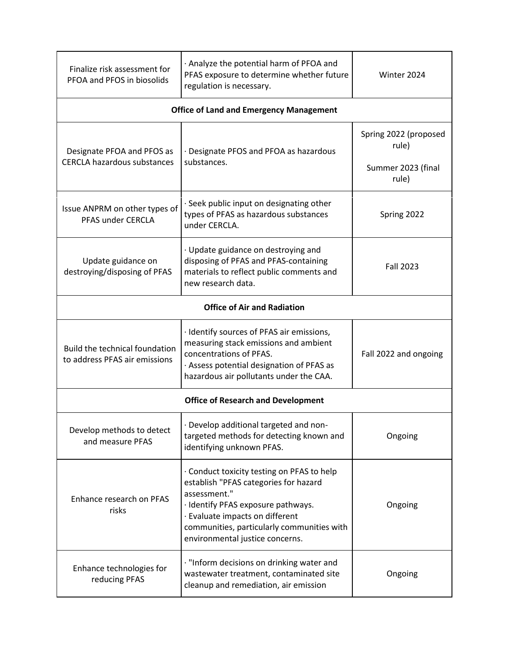| Finalize risk assessment for<br>PFOA and PFOS in biosolids      | · Analyze the potential harm of PFOA and<br>PFAS exposure to determine whether future<br>regulation is necessary.                                                                                                                                           | Winter 2024                                                   |  |  |
|-----------------------------------------------------------------|-------------------------------------------------------------------------------------------------------------------------------------------------------------------------------------------------------------------------------------------------------------|---------------------------------------------------------------|--|--|
| <b>Office of Land and Emergency Management</b>                  |                                                                                                                                                                                                                                                             |                                                               |  |  |
| Designate PFOA and PFOS as<br>CERCLA hazardous substances       | · Designate PFOS and PFOA as hazardous<br>substances.                                                                                                                                                                                                       | Spring 2022 (proposed<br>rule)<br>Summer 2023 (final<br>rule) |  |  |
| Issue ANPRM on other types of<br>PFAS under CERCLA              | · Seek public input on designating other<br>types of PFAS as hazardous substances<br>under CERCLA.                                                                                                                                                          | Spring 2022                                                   |  |  |
| Update guidance on<br>destroying/disposing of PFAS              | · Update guidance on destroying and<br>disposing of PFAS and PFAS-containing<br>materials to reflect public comments and<br>new research data.                                                                                                              | <b>Fall 2023</b>                                              |  |  |
| <b>Office of Air and Radiation</b>                              |                                                                                                                                                                                                                                                             |                                                               |  |  |
| Build the technical foundation<br>to address PFAS air emissions | · Identify sources of PFAS air emissions,<br>measuring stack emissions and ambient<br>concentrations of PFAS.<br>· Assess potential designation of PFAS as<br>hazardous air pollutants under the CAA.                                                       | Fall 2022 and ongoing                                         |  |  |
| <b>Office of Research and Development</b>                       |                                                                                                                                                                                                                                                             |                                                               |  |  |
| Develop methods to detect<br>and measure PFAS                   | · Develop additional targeted and non-<br>targeted methods for detecting known and<br>identifying unknown PFAS.                                                                                                                                             | Ongoing                                                       |  |  |
| Enhance research on PFAS<br>risks                               | Conduct toxicity testing on PFAS to help<br>establish "PFAS categories for hazard<br>assessment."<br>· Identify PFAS exposure pathways.<br>· Evaluate impacts on different<br>communities, particularly communities with<br>environmental justice concerns. | Ongoing                                                       |  |  |
| Enhance technologies for<br>reducing PFAS                       | · "Inform decisions on drinking water and<br>wastewater treatment, contaminated site<br>cleanup and remediation, air emission                                                                                                                               | Ongoing                                                       |  |  |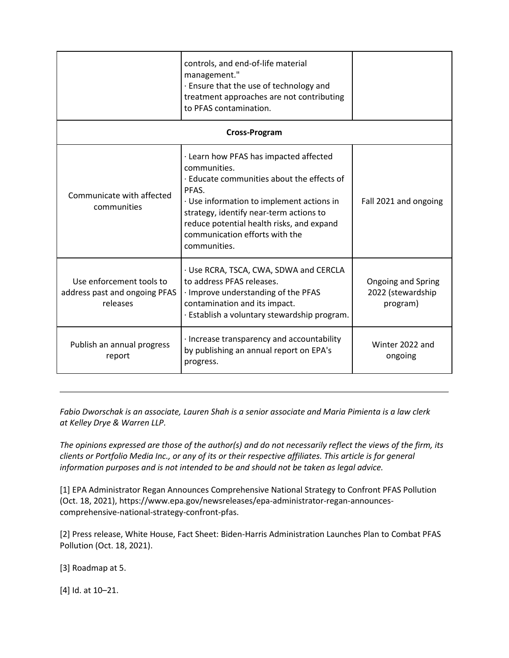|                                                                       | controls, and end-of-life material<br>management."<br>. Ensure that the use of technology and<br>treatment approaches are not contributing<br>to PFAS contamination.                                                                                                                                 |                                                     |  |  |
|-----------------------------------------------------------------------|------------------------------------------------------------------------------------------------------------------------------------------------------------------------------------------------------------------------------------------------------------------------------------------------------|-----------------------------------------------------|--|--|
| <b>Cross-Program</b>                                                  |                                                                                                                                                                                                                                                                                                      |                                                     |  |  |
| Communicate with affected<br>communities                              | · Learn how PFAS has impacted affected<br>communities.<br>. Educate communities about the effects of<br>PFAS.<br>· Use information to implement actions in<br>strategy, identify near-term actions to<br>reduce potential health risks, and expand<br>communication efforts with the<br>communities. | Fall 2021 and ongoing                               |  |  |
| Use enforcement tools to<br>address past and ongoing PFAS<br>releases | · Use RCRA, TSCA, CWA, SDWA and CERCLA<br>to address PFAS releases.<br>· Improve understanding of the PFAS<br>contamination and its impact.<br>· Establish a voluntary stewardship program.                                                                                                          | Ongoing and Spring<br>2022 (stewardship<br>program) |  |  |
| Publish an annual progress<br>report                                  | · Increase transparency and accountability<br>by publishing an annual report on EPA's<br>progress.                                                                                                                                                                                                   | Winter 2022 and<br>ongoing                          |  |  |

*Fabio Dworschak is an associate, Lauren Shah is a senior associate and Maria Pimienta is a law clerk at Kelley Drye & Warren LLP.*

*The opinions expressed are those of the author(s) and do not necessarily reflect the views of the firm, its clients or Portfolio Media Inc., or any of its or their respective affiliates. This article is for general information purposes and is not intended to be and should not be taken as legal advice.*

[1] EPA Administrator Regan Announces Comprehensive National Strategy to Confront PFAS Pollution (Oct. 18, 2021), https://www.epa.gov/newsreleases/epa-administrator-regan-announcescomprehensive-national-strategy-confront-pfas.

[2] Press release, White House, Fact Sheet: Biden-Harris Administration Launches Plan to Combat PFAS Pollution (Oct. 18, 2021).

[3] Roadmap at 5.

[4] Id. at 10–21.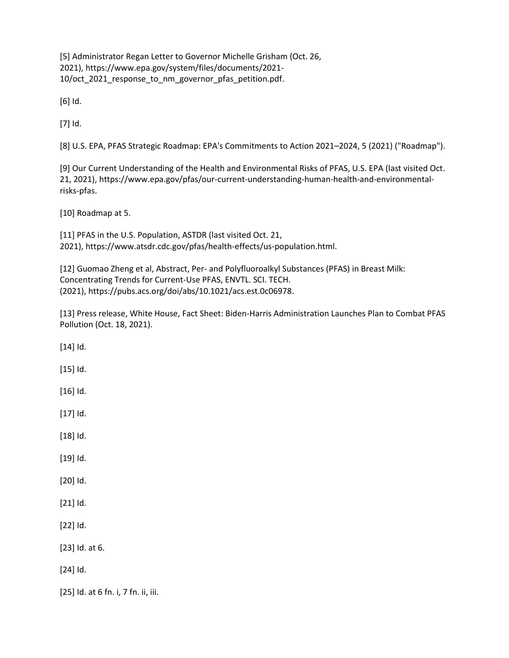[5] Administrator Regan Letter to Governor Michelle Grisham (Oct. 26, 2021), https://www.epa.gov/system/files/documents/2021- 10/oct\_2021\_response\_to\_nm\_governor\_pfas\_petition.pdf.

[6] Id.

[7] Id.

[8] U.S. EPA, PFAS Strategic Roadmap: EPA's Commitments to Action 2021–2024, 5 (2021) ("Roadmap").

[9] Our Current Understanding of the Health and Environmental Risks of PFAS, U.S. EPA (last visited Oct. 21, 2021), https://www.epa.gov/pfas/our-current-understanding-human-health-and-environmentalrisks-pfas.

[10] Roadmap at 5.

[11] PFAS in the U.S. Population, ASTDR (last visited Oct. 21, 2021), https://www.atsdr.cdc.gov/pfas/health-effects/us-population.html.

[12] Guomao Zheng et al, Abstract, Per- and Polyfluoroalkyl Substances (PFAS) in Breast Milk: Concentrating Trends for Current-Use PFAS, ENVTL. SCI. TECH. (2021), https://pubs.acs.org/doi/abs/10.1021/acs.est.0c06978.

[13] Press release, White House, Fact Sheet: Biden-Harris Administration Launches Plan to Combat PFAS Pollution (Oct. 18, 2021).

[14] Id.

[15] Id.

[16] Id.

[17] Id.

[18] Id.

[19] Id.

[20] Id.

[21] Id.

[22] Id.

[23] Id. at 6.

[24] Id.

[25] Id. at 6 fn. i, 7 fn. ii, iii.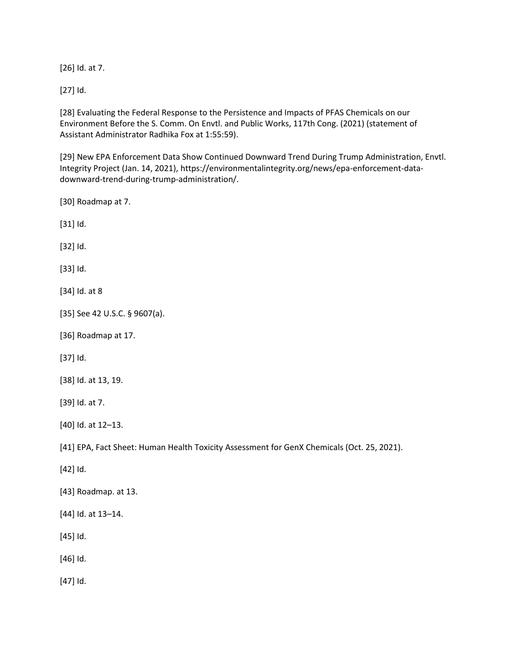[26] Id. at 7.

[27] Id.

[28] Evaluating the Federal Response to the Persistence and Impacts of PFAS Chemicals on our Environment Before the S. Comm. On Envtl. and Public Works, 117th Cong. (2021) (statement of Assistant Administrator Radhika Fox at 1:55:59).

[29] New EPA Enforcement Data Show Continued Downward Trend During Trump Administration, Envtl. Integrity Project (Jan. 14, 2021), https://environmentalintegrity.org/news/epa-enforcement-datadownward-trend-during-trump-administration/.

[30] Roadmap at 7.

[31] Id.

[32] Id.

[33] Id.

[34] Id. at 8

- [35] See 42 U.S.C. § 9607(a).
- [36] Roadmap at 17.

[37] Id.

[38] Id. at 13, 19.

[39] Id. at 7.

[40] Id. at 12–13.

[41] EPA, Fact Sheet: Human Health Toxicity Assessment for GenX Chemicals (Oct. 25, 2021).

[42] Id.

- [43] Roadmap. at 13.
- [44] Id. at 13–14.
- [45] Id.

[46] Id.

[47] Id.